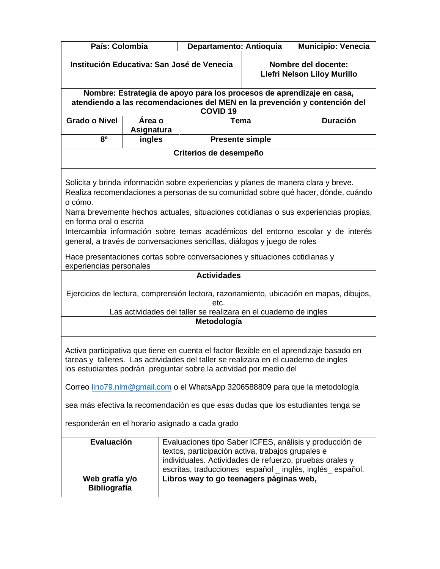| País: Colombia                                                                                                                                                                                                                                                                                                                      |                             |  | Departamento: Antioquia                                                                                                                                        |                                                    | <b>Municipio: Venecia</b>                                                                                                                                                                                                                                    |
|-------------------------------------------------------------------------------------------------------------------------------------------------------------------------------------------------------------------------------------------------------------------------------------------------------------------------------------|-----------------------------|--|----------------------------------------------------------------------------------------------------------------------------------------------------------------|----------------------------------------------------|--------------------------------------------------------------------------------------------------------------------------------------------------------------------------------------------------------------------------------------------------------------|
| Institución Educativa: San José de Venecia                                                                                                                                                                                                                                                                                          |                             |  |                                                                                                                                                                | Nombre del docente:<br>Llefri Nelson Liloy Murillo |                                                                                                                                                                                                                                                              |
|                                                                                                                                                                                                                                                                                                                                     |                             |  | Nombre: Estrategia de apoyo para los procesos de aprendizaje en casa,                                                                                          |                                                    |                                                                                                                                                                                                                                                              |
|                                                                                                                                                                                                                                                                                                                                     |                             |  | <b>COVID 19</b>                                                                                                                                                |                                                    | atendiendo a las recomendaciones del MEN en la prevención y contención del                                                                                                                                                                                   |
| <b>Grado o Nivel</b>                                                                                                                                                                                                                                                                                                                | Área o<br><b>Asignatura</b> |  | <b>Tema</b>                                                                                                                                                    |                                                    | <b>Duración</b>                                                                                                                                                                                                                                              |
| 80                                                                                                                                                                                                                                                                                                                                  | ingles                      |  | <b>Presente simple</b>                                                                                                                                         |                                                    |                                                                                                                                                                                                                                                              |
| Criterios de desempeño                                                                                                                                                                                                                                                                                                              |                             |  |                                                                                                                                                                |                                                    |                                                                                                                                                                                                                                                              |
| o cómo.<br>en forma oral o escrita                                                                                                                                                                                                                                                                                                  |                             |  | Solicita y brinda información sobre experiencias y planes de manera clara y breve.<br>general, a través de conversaciones sencillas, diálogos y juego de roles |                                                    | Realiza recomendaciones a personas de su comunidad sobre qué hacer, dónde, cuándo<br>Narra brevemente hechos actuales, situaciones cotidianas o sus experiencias propias,<br>Intercambia información sobre temas académicos del entorno escolar y de interés |
| experiencias personales                                                                                                                                                                                                                                                                                                             |                             |  | Hace presentaciones cortas sobre conversaciones y situaciones cotidianas y                                                                                     |                                                    |                                                                                                                                                                                                                                                              |
|                                                                                                                                                                                                                                                                                                                                     |                             |  | <b>Actividades</b>                                                                                                                                             |                                                    |                                                                                                                                                                                                                                                              |
| Ejercicios de lectura, comprensión lectora, razonamiento, ubicación en mapas, dibujos,<br>etc.                                                                                                                                                                                                                                      |                             |  |                                                                                                                                                                |                                                    |                                                                                                                                                                                                                                                              |
| Las actividades del taller se realizara en el cuaderno de ingles<br>Metodología                                                                                                                                                                                                                                                     |                             |  |                                                                                                                                                                |                                                    |                                                                                                                                                                                                                                                              |
|                                                                                                                                                                                                                                                                                                                                     |                             |  |                                                                                                                                                                |                                                    |                                                                                                                                                                                                                                                              |
| Activa participativa que tiene en cuenta el factor flexible en el aprendizaje basado en<br>tareas y talleres. Las actividades del taller se realizara en el cuaderno de ingles<br>los estudiantes podrán preguntar sobre la actividad por medio del<br>Correo lino79.nlm@gmail.com o el WhatsApp 3206588809 para que la metodología |                             |  |                                                                                                                                                                |                                                    |                                                                                                                                                                                                                                                              |
|                                                                                                                                                                                                                                                                                                                                     |                             |  |                                                                                                                                                                |                                                    |                                                                                                                                                                                                                                                              |
|                                                                                                                                                                                                                                                                                                                                     |                             |  |                                                                                                                                                                |                                                    | sea más efectiva la recomendación es que esas dudas que los estudiantes tenga se                                                                                                                                                                             |
|                                                                                                                                                                                                                                                                                                                                     |                             |  | responderán en el horario asignado a cada grado                                                                                                                |                                                    |                                                                                                                                                                                                                                                              |
| Evaluación                                                                                                                                                                                                                                                                                                                          |                             |  | textos, participación activa, trabajos grupales e<br>individuales. Actividades de refuerzo, pruebas orales y                                                   |                                                    | Evaluaciones tipo Saber ICFES, análisis y producción de<br>escritas, traducciones español _ inglés, inglés español.                                                                                                                                          |
| Web grafía y/o<br><b>Bibliografía</b>                                                                                                                                                                                                                                                                                               |                             |  | Libros way to go teenagers páginas web,                                                                                                                        |                                                    |                                                                                                                                                                                                                                                              |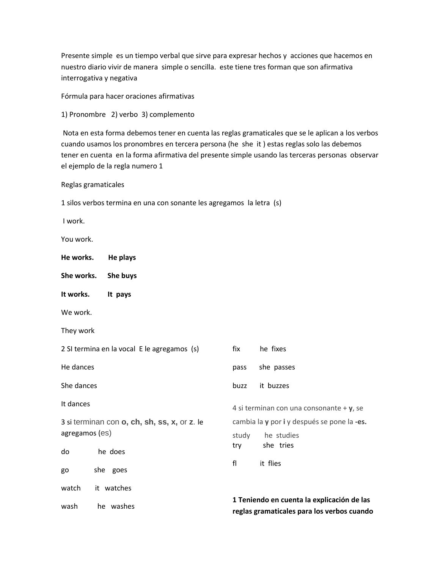Presente simple es un tiempo verbal que sirve para expresar hechos y acciones que hacemos en nuestro diario vivir de manera simple o sencilla. este tiene tres forman que son afirmativa interrogativa y negativa

Fórmula para hacer oraciones afirmativas

1) Pronombre 2) verbo 3) complemento

Nota en esta forma debemos tener en cuenta las reglas gramaticales que se le aplican a los verbos cuando usamos los pronombres en tercera persona (he she it ) estas reglas solo las debemos tener en cuenta en la forma afirmativa del presente simple usando las terceras personas observar el ejemplo de la regla numero 1

Reglas gramaticales

1 silos verbos termina en una con sonante les agregamos la letra (s)

I work.

You work.

| He works.                                    | He plays                                    |                                             |                                                                                          |  |
|----------------------------------------------|---------------------------------------------|---------------------------------------------|------------------------------------------------------------------------------------------|--|
| She works.                                   | She buys                                    |                                             |                                                                                          |  |
| It works.                                    | It pays                                     |                                             |                                                                                          |  |
| We work.                                     |                                             |                                             |                                                                                          |  |
| They work                                    |                                             |                                             |                                                                                          |  |
|                                              | 2 SI termina en la vocal E le agregamos (s) | fix                                         | he fixes                                                                                 |  |
| He dances                                    |                                             | pass                                        | she passes                                                                               |  |
| She dances                                   |                                             | buzz                                        | it buzzes                                                                                |  |
| It dances                                    |                                             |                                             | 4 si terminan con una consonante + $y$ , se                                              |  |
| 3 si terminan con o, ch, sh, ss, x, or z. le |                                             | cambia la y por i y después se pone la -es. |                                                                                          |  |
| agregamos (es)                               |                                             | study                                       | he studies                                                                               |  |
| do                                           | he does                                     | try                                         | she tries                                                                                |  |
| go                                           | she goes                                    | fl                                          | it flies                                                                                 |  |
| watch                                        | it watches                                  |                                             |                                                                                          |  |
| wash                                         | he washes                                   |                                             | 1 Teniendo en cuenta la explicación de las<br>reglas gramaticales para los verbos cuando |  |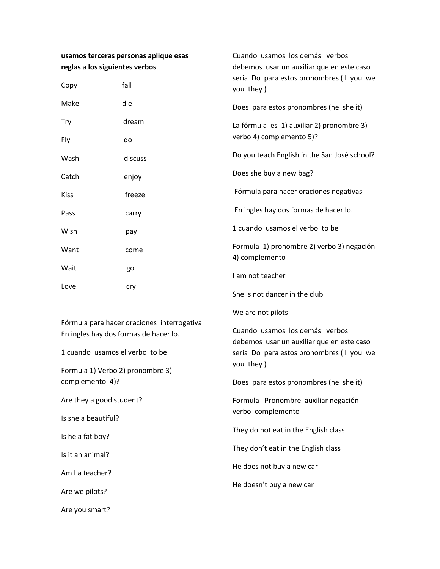| usamos terceras personas aplique esas<br>reglas a los siguientes verbos             |         | Cuando usamos los demás verbos<br>debemos usar un auxiliar que en este caso                                                                                                      |  |                 |
|-------------------------------------------------------------------------------------|---------|----------------------------------------------------------------------------------------------------------------------------------------------------------------------------------|--|-----------------|
| Copy                                                                                | fall    | sería Do para estos pronombres (I you we<br>you they)                                                                                                                            |  |                 |
| Make                                                                                | die     | Does para estos pronombres (he she it)                                                                                                                                           |  |                 |
| Try                                                                                 | dream   | La fórmula es 1) auxiliar 2) pronombre 3)<br>verbo 4) complemento 5)?                                                                                                            |  |                 |
| Fly                                                                                 | do      |                                                                                                                                                                                  |  |                 |
| Wash                                                                                | discuss | Do you teach English in the San José school?                                                                                                                                     |  |                 |
| Catch                                                                               | enjoy   | Does she buy a new bag?                                                                                                                                                          |  |                 |
| <b>Kiss</b>                                                                         | freeze  | Fórmula para hacer oraciones negativas<br>En ingles hay dos formas de hacer lo.<br>1 cuando usamos el verbo to be<br>Formula 1) pronombre 2) verbo 3) negación<br>4) complemento |  |                 |
| Pass                                                                                | carry   |                                                                                                                                                                                  |  |                 |
| Wish                                                                                | pay     |                                                                                                                                                                                  |  |                 |
| Want                                                                                | come    |                                                                                                                                                                                  |  |                 |
| Wait                                                                                | go      | I am not teacher                                                                                                                                                                 |  |                 |
| Love                                                                                | cry     | She is not dancer in the club                                                                                                                                                    |  |                 |
|                                                                                     |         | We are not pilots                                                                                                                                                                |  |                 |
| Fórmula para hacer oraciones interrogativa<br>En ingles hay dos formas de hacer lo. |         | Cuando usamos los demás verbos<br>debemos usar un auxiliar que en este caso<br>sería Do para estos pronombres (I you we<br>you they)                                             |  |                 |
| 1 cuando usamos el verbo to be                                                      |         |                                                                                                                                                                                  |  |                 |
| Formula 1) Verbo 2) pronombre 3)                                                    |         |                                                                                                                                                                                  |  |                 |
| complemento 4)?                                                                     |         | Does para estos pronombres (he she it)                                                                                                                                           |  |                 |
| Are they a good student?                                                            |         | Formula Pronombre auxiliar negación<br>verbo complemento<br>They do not eat in the English class<br>They don't eat in the English class                                          |  |                 |
| Is she a beautiful?                                                                 |         |                                                                                                                                                                                  |  |                 |
| Is he a fat boy?<br>Is it an animal?                                                |         |                                                                                                                                                                                  |  |                 |
|                                                                                     |         |                                                                                                                                                                                  |  | Am I a teacher? |
| Are we pilots?                                                                      |         | He doesn't buy a new car                                                                                                                                                         |  |                 |
| Are you smart?                                                                      |         |                                                                                                                                                                                  |  |                 |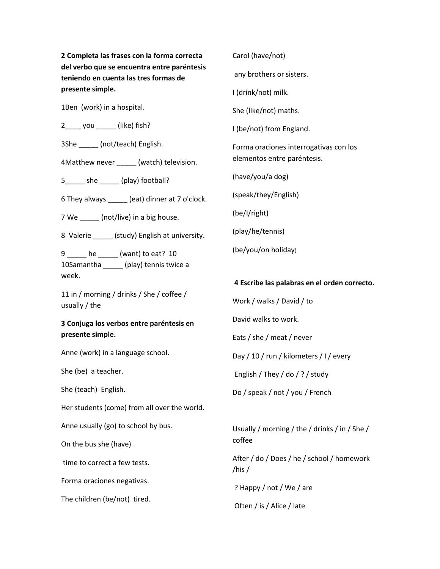**2 Completa las frases con la forma correcta del verbo que se encuentra entre paréntesis teniendo en cuenta las tres formas de presente simple.**

1Ben (work) in a hospital.

2\_\_\_\_ you \_\_\_\_\_ (like) fish?

3She \_\_\_\_\_ (not/teach) English.

4Matthew never \_\_\_\_\_\_ (watch) television.

5\_\_\_\_\_ she \_\_\_\_\_ (play) football?

6 They always \_\_\_\_\_ (eat) dinner at 7 o'clock.

7 We \_\_\_\_\_\_ (not/live) in a big house.

8 Valerie \_\_\_\_\_ (study) English at university.

9 \_\_\_\_\_ he \_\_\_\_\_ (want) to eat? 10 10Samantha \_\_\_\_\_ (play) tennis twice a week.

11 in / morning / drinks / She / coffee / usually / the

### **3 Conjuga los verbos entre paréntesis en presente simple.**

Anne (work) in a language school.

She (be) a teacher.

She (teach) English.

Her students (come) from all over the world.

Anne usually (go) to school by bus.

On the bus she (have)

time to correct a few tests.

Forma oraciones negativas.

The children (be/not) tired.

any brothers or sisters. I (drink/not) milk. She (like/not) maths. I (be/not) from England. Forma oraciones interrogativas con los elementos entre paréntesis. (have/you/a dog) (speak/they/English) (be/I/right) (play/he/tennis) (be/you/on holiday)

Carol (have/not)

**4 Escribe las palabras en el orden correcto.**

Work / walks / David / to David walks to work. Eats / she / meat / never Day / 10 / run / kilometers / I / every

English / They / do / ? / study

Do / speak / not / you / French

Usually / morning / the / drinks / in / She / coffee

After / do / Does / he / school / homework /his /

? Happy / not / We / are

Often / is / Alice / late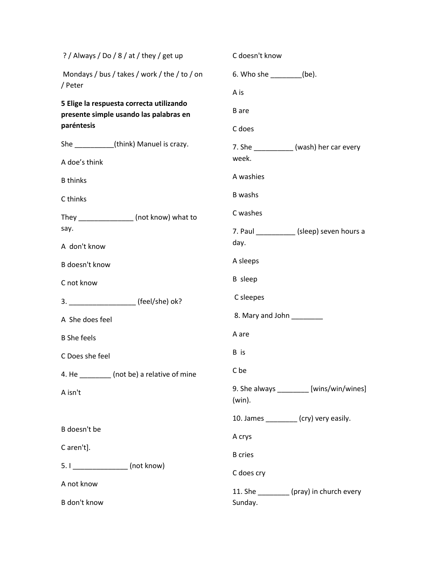| ? / Always / Do / 8 / at / they / get up                                           | C doesn't know                                        |
|------------------------------------------------------------------------------------|-------------------------------------------------------|
| Mondays / bus / takes / work / the / to / on                                       | 6. Who she _________(be).                             |
| / Peter                                                                            | A is                                                  |
| 5 Elige la respuesta correcta utilizando<br>presente simple usando las palabras en | <b>B</b> are                                          |
| paréntesis                                                                         | C does                                                |
| She (think) Manuel is crazy.                                                       | 7. She ___________ (wash) her car every               |
| A doe's think                                                                      | week.                                                 |
| <b>B</b> thinks                                                                    | A washies                                             |
| C thinks                                                                           | B washs                                               |
| They ________________ (not know) what to                                           | C washes                                              |
| say.                                                                               | 7. Paul _____________ (sleep) seven hours a           |
| A don't know                                                                       | day.                                                  |
| B doesn't know                                                                     | A sleeps                                              |
| C not know                                                                         | <b>B</b> sleep                                        |
|                                                                                    | C sleepes                                             |
| A She does feel                                                                    | 8. Mary and John _______                              |
| <b>B</b> She feels                                                                 | A are                                                 |
| C Does she feel                                                                    | B is                                                  |
| 4. He _______ (not be) a relative of mine                                          | C be                                                  |
| A isn't                                                                            | 9. She always _________ [wins/win/wines]<br>$(win)$ . |
|                                                                                    | 10. James _________ (cry) very easily.                |
| B doesn't be                                                                       | A crys                                                |
| C aren't].                                                                         | <b>B</b> cries                                        |
| 5. I ________________ (not know)                                                   | C does cry                                            |
| A not know                                                                         | 11. She _________ (pray) in church every              |
| B don't know                                                                       | Sunday.                                               |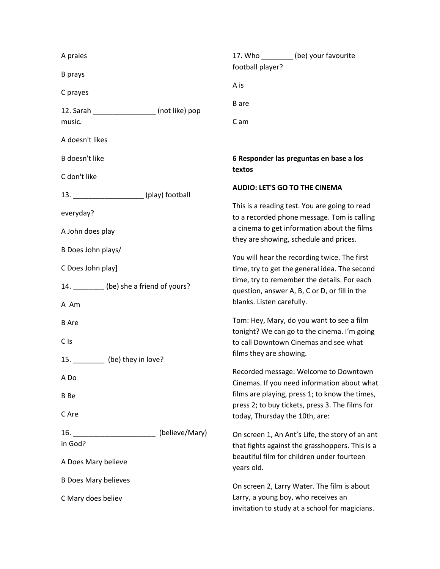| A praies                                                       |                |                                                                                                                                                                                               | 17. Who _________ (be) your favourite                                                             |  |
|----------------------------------------------------------------|----------------|-----------------------------------------------------------------------------------------------------------------------------------------------------------------------------------------------|---------------------------------------------------------------------------------------------------|--|
| <b>B</b> prays                                                 |                | football player?                                                                                                                                                                              |                                                                                                   |  |
| C prayes                                                       |                | A is                                                                                                                                                                                          |                                                                                                   |  |
| 12. Sarah (not like) pop<br>music.                             |                | <b>B</b> are                                                                                                                                                                                  |                                                                                                   |  |
|                                                                |                | C am                                                                                                                                                                                          |                                                                                                   |  |
| A doesn't likes                                                |                |                                                                                                                                                                                               |                                                                                                   |  |
| B doesn't like                                                 |                |                                                                                                                                                                                               | 6 Responder las preguntas en base a los                                                           |  |
| C don't like                                                   |                | textos                                                                                                                                                                                        |                                                                                                   |  |
| 13. _____________________(play) football                       |                | <b>AUDIO: LET'S GO TO THE CINEMA</b>                                                                                                                                                          |                                                                                                   |  |
| everyday?<br>A John does play                                  |                | This is a reading test. You are going to read<br>to a recorded phone message. Tom is calling<br>a cinema to get information about the films<br>they are showing, schedule and prices.         |                                                                                                   |  |
|                                                                |                |                                                                                                                                                                                               |                                                                                                   |  |
| C Does John play]<br>14. _________ (be) she a friend of yours? |                | You will hear the recording twice. The first<br>time, try to get the general idea. The second<br>time, try to remember the details. For each<br>question, answer A, B, C or D, or fill in the |                                                                                                   |  |
|                                                                |                |                                                                                                                                                                                               |                                                                                                   |  |
| <b>B</b> Are                                                   |                |                                                                                                                                                                                               | Tom: Hey, Mary, do you want to see a film<br>tonight? We can go to the cinema. I'm going          |  |
| C <sub>Is</sub>                                                |                | to call Downtown Cinemas and see what                                                                                                                                                         |                                                                                                   |  |
| 15. (be) they in love?                                         |                | films they are showing.                                                                                                                                                                       |                                                                                                   |  |
| A Do                                                           |                |                                                                                                                                                                                               | Recorded message: Welcome to Downtown<br>Cinemas. If you need information about what              |  |
| B Be                                                           |                |                                                                                                                                                                                               | films are playing, press 1; to know the times,<br>press 2; to buy tickets, press 3. The films for |  |
| C Are                                                          |                | today, Thursday the 10th, are:                                                                                                                                                                |                                                                                                   |  |
| 16.                                                            | (believe/Mary) |                                                                                                                                                                                               | On screen 1, An Ant's Life, the story of an ant                                                   |  |
| in God?                                                        |                |                                                                                                                                                                                               | that fights against the grasshoppers. This is a<br>beautiful film for children under fourteen     |  |
| A Does Mary believe                                            |                | years old.                                                                                                                                                                                    |                                                                                                   |  |
| <b>B Does Mary believes</b>                                    |                |                                                                                                                                                                                               | On screen 2, Larry Water. The film is about                                                       |  |
| C Mary does believ                                             |                | Larry, a young boy, who receives an                                                                                                                                                           | invitation to study at a school for magicians.                                                    |  |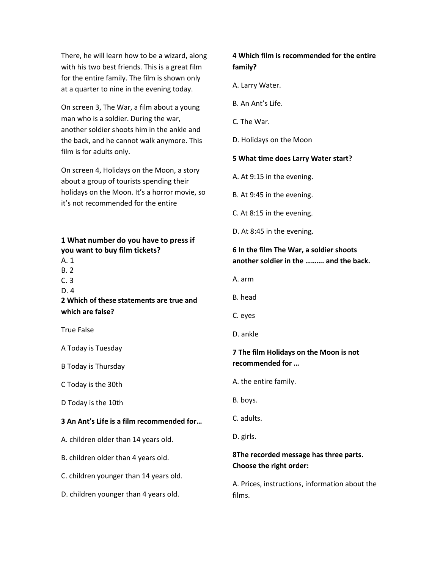There, he will learn how to be a wizard, along with his two best friends. This is a great film for the entire family. The film is shown only at a quarter to nine in the evening today.

On screen 3, The War, a film about a young man who is a soldier. During the war, another soldier shoots him in the ankle and the back, and he cannot walk anymore. This film is for adults only.

On screen 4, Holidays on the Moon, a story about a group of tourists spending their holidays on the Moon. It's a horror movie, so it's not recommended for the entire

| 1 What number do you have to press if |  |
|---------------------------------------|--|
| you want to buy film tickets?         |  |

- A. 1
- B. 2
- C. 3
- D. 4

**2 Which of these statements are true and which are false?**

True False

A Today is Tuesday

B Today is Thursday

C Today is the 30th

D Today is the 10th

#### **3 An Ant's Life is a film recommended for…**

A. children older than 14 years old.

B. children older than 4 years old.

C. children younger than 14 years old.

D. children younger than 4 years old.

## **4 Which film is recommended for the entire family?**

A. Larry Water.

- B. An Ant's Life.
- C. The War.
- D. Holidays on the Moon

#### **5 What time does Larry Water start?**

- A. At 9:15 in the evening.
- B. At 9:45 in the evening.
- C. At 8:15 in the evening.
- D. At 8:45 in the evening.

### **6 In the film The War, a soldier shoots another soldier in the ………. and the back.**

- A. arm
- B. head
- C. eyes
- D. ankle

### **7 The film Holidays on the Moon is not recommended for …**

- A. the entire family.
- B. boys.
- C. adults.
- D. girls.

### **8The recorded message has three parts. Choose the right order:**

A. Prices, instructions, information about the films.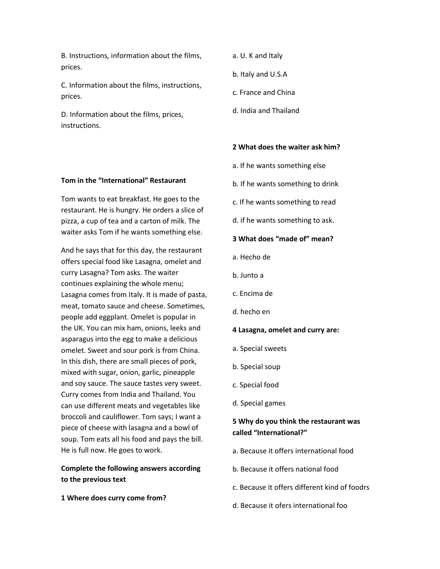B. Instructions, information about the films, prices.

C. Information about the films, instructions, prices.

D. Information about the films, prices, instructions.

- a. U. K and Italy
- b. Italy and U.S.A
- c. France and China
- d. India and Thailand

#### **2 What does the waiter ask him?**

- a. If he wants something else
- b. If he wants something to drink
- c. If he wants something to read
- d. if he wants something to ask.

#### **3 What does "made of" mean?**

- a. Hecho de
- b. Junto a
- c. Encima de
- d. hecho en

#### **4 Lasagna, omelet and curry are:**

- a. Special sweets
- b. Special soup
- c. Special food
- d. Special games

### **5 Why do you think the restaurant was called "International?"**

- a. Because it offers international food
- b. Because it offers national food
- c. Because it offers different kind of foodrs
- d. Because it ofers international foo

### **Tom in the "International" Restaurant**

Tom wants to eat breakfast. He goes to the restaurant. He is hungry. He orders a slice of pizza, a cup of tea and a carton of milk. The waiter asks Tom if he wants something else.

And he says that for this day, the restaurant offers special food like Lasagna, omelet and curry Lasagna? Tom asks. The waiter continues explaining the whole menu; Lasagna comes from Italy. It is made of pasta, meat, tomato sauce and cheese. Sometimes, people add eggplant. Omelet is popular in the UK. You can mix ham, onions, leeks and asparagus into the egg to make a delicious omelet. Sweet and sour pork is from China. In this dish, there are small pieces of pork, mixed with sugar, onion, garlic, pineapple and soy sauce. The sauce tastes very sweet. Curry comes from India and Thailand. You can use different meats and vegetables like broccoli and cauliflower. Tom says; I want a piece of cheese with lasagna and a bowl of soup. Tom eats all his food and pays the bill. He is full now. He goes to work.

## **Complete the following answers according to the previous text**

#### **1 Where does curry come from?**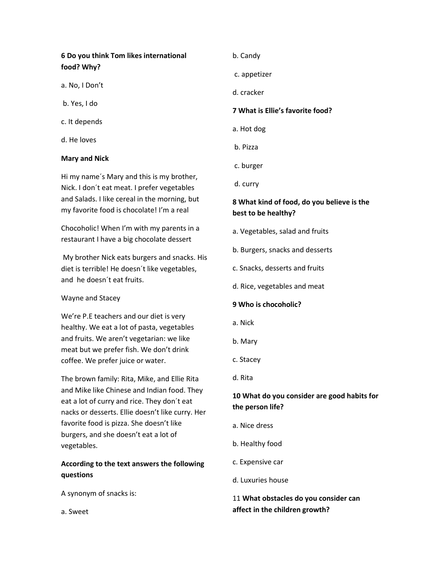# **6 Do you think Tom likes international food? Why?**

- a. No, I Don't
- b. Yes, I do
- c. It depends
- d. He loves

#### **Mary and Nick**

Hi my name´s Mary and this is my brother, Nick. I don´t eat meat. I prefer vegetables and Salads. I like cereal in the morning, but my favorite food is chocolate! I'm a real

Chocoholic! When I'm with my parents in a restaurant I have a big chocolate dessert

My brother Nick eats burgers and snacks. His diet is terrible! He doesn´t like vegetables, and he doesn´t eat fruits.

#### Wayne and Stacey

We're P.E teachers and our diet is very healthy. We eat a lot of pasta, vegetables and fruits. We aren't vegetarian: we like meat but we prefer fish. We don't drink coffee. We prefer juice or water.

The brown family: Rita, Mike, and Ellie Rita and Mike like Chinese and Indian food. They eat a lot of curry and rice. They don´t eat nacks or desserts. Ellie doesn't like curry. Her favorite food is pizza. She doesn't like burgers, and she doesn't eat a lot of vegetables.

### **According to the text answers the following questions**

A synonym of snacks is:

a. Sweet

- b. Candy
- c. appetizer
- d. cracker

#### **7 What is Ellie's favorite food?**

- a. Hot dog
- b. Pizza
- c. burger
- d. curry

### **8 What kind of food, do you believe is the best to be healthy?**

- a. Vegetables, salad and fruits
- b. Burgers, snacks and desserts
- c. Snacks, desserts and fruits
- d. Rice, vegetables and meat

### **9 Who is chocoholic?**

- a. Nick
- b. Mary
- c. Stacey
- d. Rita

### **10 What do you consider are good habits for the person life?**

- a. Nice dress
- b. Healthy food
- c. Expensive car
- d. Luxuries house

## 11 **What obstacles do you consider can affect in the children growth?**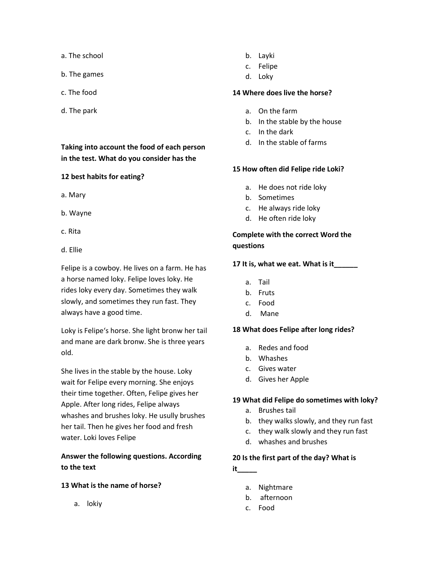- a. The school
- b. The games
- c. The food
- d. The park

### **Taking into account the food of each person in the test. What do you consider has the**

#### **12 best habits for eating?**

- a. Mary
- b. Wayne
- c. Rita
- d. Ellie

Felipe is a cowboy. He lives on a farm. He has a horse named loky. Felipe loves loky. He rides loky every day. Sometimes they walk slowly, and sometimes they run fast. They always have a good time.

Loky is Felipe's horse. She light bronw her tail and mane are dark bronw. She is three years old.

She lives in the stable by the house. Loky wait for Felipe every morning. She enjoys their time together. Often, Felipe gives her Apple. After long rides, Felipe always whashes and brushes loky. He usully brushes her tail. Then he gives her food and fresh water. Loki loves Felipe

## **Answer the following questions. According to the text**

#### **13 What is the name of horse?**

a. lokiy

- b. Layki
- c. Felipe
- d. Loky

#### **14 Where does live the horse?**

- a. On the farm
- b. In the stable by the house
- c. In the dark
- d. In the stable of farms

#### **15 How often did Felipe ride Loki?**

- a. He does not ride loky
- b. Sometimes
- c. He always ride loky
- d. He often ride loky

## **Complete with the correct Word the questions**

#### **17 It is, what we eat. What is it\_\_\_\_\_\_**

- a. Tail
- b. Fruts
- c. Food
- d. Mane

#### **18 What does Felipe after long rides?**

- a. Redes and food
- b. Whashes
- c. Gives water
- d. Gives her Apple

#### **19 What did Felipe do sometimes with loky?**

- a. Brushes tail
- b. they walks slowly, and they run fast
- c. they walk slowly and they run fast
- d. whashes and brushes

#### **20 Is the first part of the day? What is**

- **it\_\_\_\_\_**
	- a. Nightmare
	- b. afternoon
	- c. Food